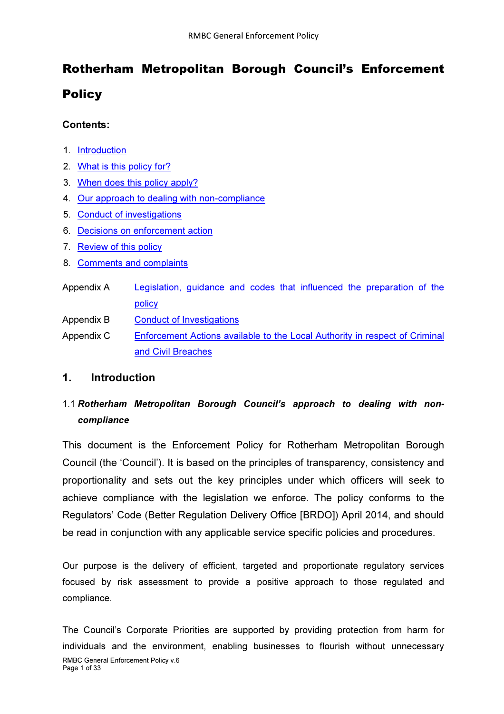# Rotherham Metropolitan Borough Council's Enforcement **Policy**

## Contents:

- 1. Introduction
- 2. What is this policy for?
- 3. When does this policy apply?
- 4. Our approach to dealing with non-compliance
- 5. Conduct of investigations
- 6. Decisions on enforcement action
- 7. Review of this policy
- 8. Comments and complaints
- Appendix A Legislation, guidance and codes that influenced the preparation of the policy Appendix B Conduct of Investigations Appendix C Enforcement Actions available to the Local Authority in respect of Criminal and Civil Breaches

## 1. Introduction

## 1.1 Rotherham Metropolitan Borough Council's approach to dealing with noncompliance

This document is the Enforcement Policy for Rotherham Metropolitan Borough Council (the 'Council'). It is based on the principles of transparency, consistency and proportionality and sets out the key principles under which officers will seek to achieve compliance with the legislation we enforce. The policy conforms to the Regulators' Code (Better Regulation Delivery Office [BRDO]) April 2014, and should be read in conjunction with any applicable service specific policies and procedures.

Our purpose is the delivery of efficient, targeted and proportionate regulatory services focused by risk assessment to provide a positive approach to those regulated and compliance.

RMBC General Enforcement Policy v.6 Page 1 of 33 The Council's Corporate Priorities are supported by providing protection from harm for individuals and the environment, enabling businesses to flourish without unnecessary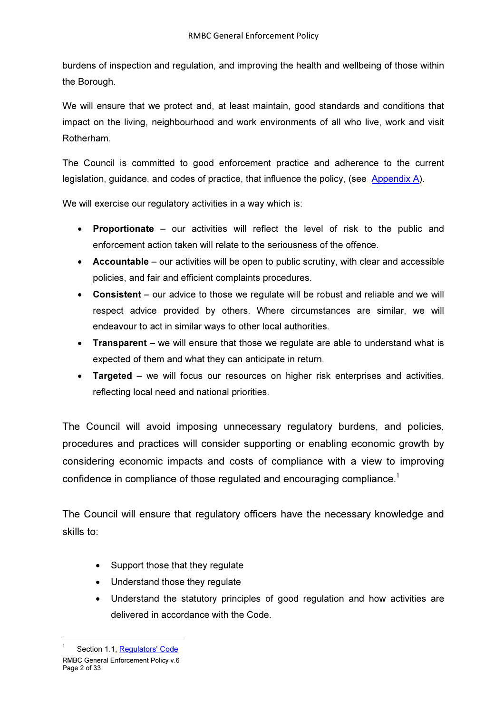burdens of inspection and regulation, and improving the health and wellbeing of those within the Borough.

We will ensure that we protect and, at least maintain, good standards and conditions that impact on the living, neighbourhood and work environments of all who live, work and visit Rotherham.

The Council is committed to good enforcement practice and adherence to the current legislation, guidance, and codes of practice, that influence the policy, (see  $\Delta$ ppendix  $\Delta$ ).

We will exercise our regulatory activities in a way which is:

- Proportionate our activities will reflect the level of risk to the public and enforcement action taken will relate to the seriousness of the offence.
- Accountable our activities will be open to public scrutiny, with clear and accessible policies, and fair and efficient complaints procedures.
- Consistent our advice to those we regulate will be robust and reliable and we will respect advice provided by others. Where circumstances are similar, we will endeavour to act in similar ways to other local authorities.
- Transparent we will ensure that those we regulate are able to understand what is expected of them and what they can anticipate in return.
- Targeted we will focus our resources on higher risk enterprises and activities, reflecting local need and national priorities.

The Council will avoid imposing unnecessary regulatory burdens, and policies, procedures and practices will consider supporting or enabling economic growth by considering economic impacts and costs of compliance with a view to improving confidence in compliance of those regulated and encouraging compliance.<sup>1</sup>

The Council will ensure that regulatory officers have the necessary knowledge and skills to:

- Support those that they regulate
- Understand those they regulate
- Understand the statutory principles of good regulation and how activities are delivered in accordance with the Code.

 $\overline{a}$ 

<sup>1</sup> Section 1.1, Regulators' Code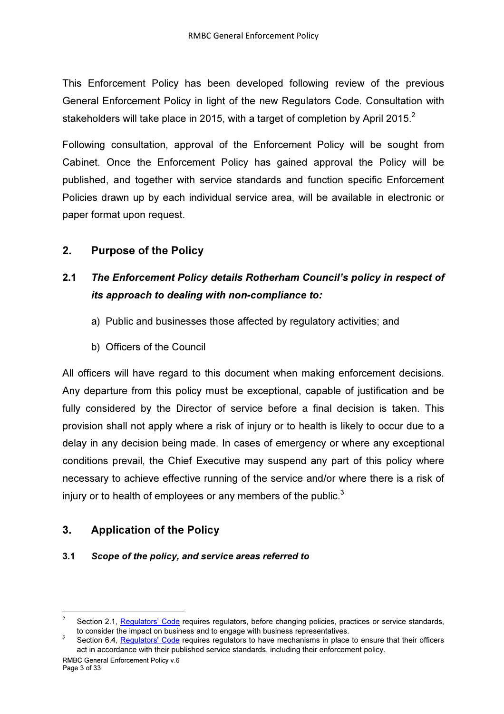This Enforcement Policy has been developed following review of the previous General Enforcement Policy in light of the new Regulators Code. Consultation with stakeholders will take place in 2015, with a target of completion by April 2015. $^2\,$ 

Following consultation, approval of the Enforcement Policy will be sought from Cabinet. Once the Enforcement Policy has gained approval the Policy will be published, and together with service standards and function specific Enforcement Policies drawn up by each individual service area, will be available in electronic or paper format upon request.

## 2. Purpose of the Policy

# 2.1 *The Enforcement Policy details Rotherham Council's policy in respect of its approach to dealing with non-compliance to:*

- a) Public and businesses those affected by regulatory activities; and
- b) Officers of the Council

All officers will have regard to this document when making enforcement decisions. Any departure from this policy must be exceptional, capable of justification and be fully considered by the Director of service before a final decision is taken. This provision shall not apply where a risk of injury or to health is likely to occur due to a delay in any decision being made. In cases of emergency or where any exceptional conditions prevail, the Chief Executive may suspend any part of this policy where necessary to achieve effective running of the service and/or where there is a risk of injury or to health of employees or any members of the public. $3$ 

## 3. Application of the Policy

## 3.1 Scope of the policy, and service areas referred to

 $\overline{a}$ 

<sup>2</sup> Section 2.1, Regulators' Code requires regulators, before changing policies, practices or service standards, to consider the impact on business and to engage with business representatives.

<sup>3</sup> Section 6.4, Regulators' Code requires regulators to have mechanisms in place to ensure that their officers act in accordance with their published service standards, including their enforcement policy.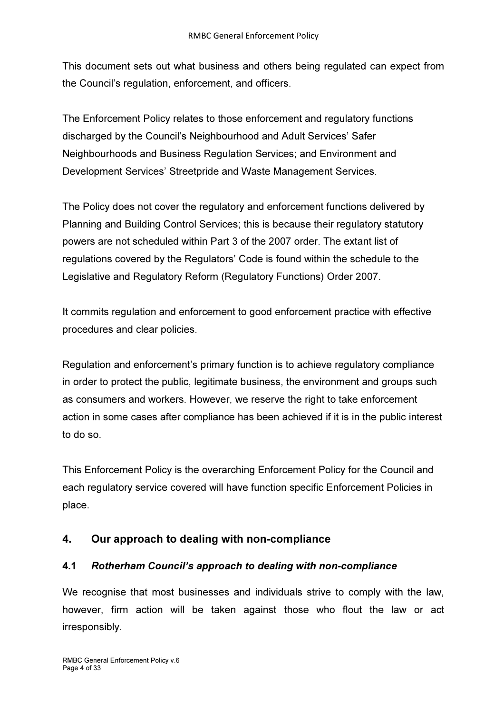This document sets out what business and others being regulated can expect from the Council's regulation, enforcement, and officers.

The Enforcement Policy relates to those enforcement and regulatory functions discharged by the Council's Neighbourhood and Adult Services' Safer Neighbourhoods and Business Regulation Services; and Environment and Development Services' Streetpride and Waste Management Services.

The Policy does not cover the regulatory and enforcement functions delivered by Planning and Building Control Services; this is because their regulatory statutory powers are not scheduled within Part 3 of the 2007 order. The extant list of regulations covered by the Regulators' Code is found within the schedule to the Legislative and Regulatory Reform (Regulatory Functions) Order 2007.

It commits regulation and enforcement to good enforcement practice with effective procedures and clear policies.

Regulation and enforcement's primary function is to achieve regulatory compliance in order to protect the public, legitimate business, the environment and groups such as consumers and workers. However, we reserve the right to take enforcement action in some cases after compliance has been achieved if it is in the public interest to do so.

This Enforcement Policy is the overarching Enforcement Policy for the Council and each regulatory service covered will have function specific Enforcement Policies in place.

## 4. Our approach to dealing with non-compliance

## 4.1 *Rotherham Council's approach to dealing with non-compliance*

We recognise that most businesses and individuals strive to comply with the law, however, firm action will be taken against those who flout the law or act irresponsibly.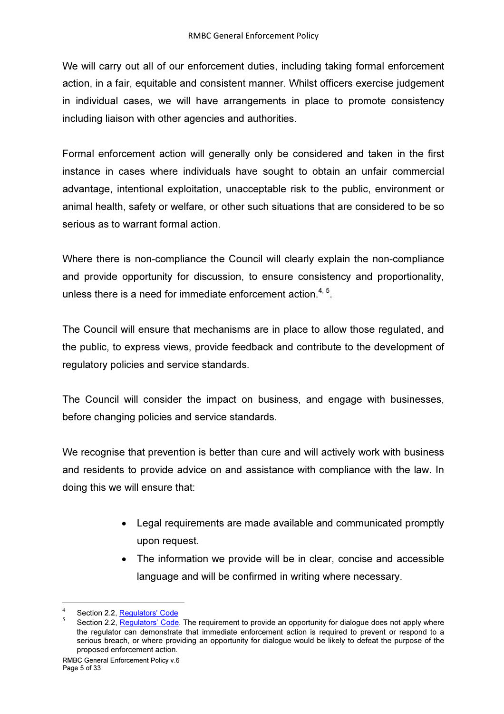We will carry out all of our enforcement duties, including taking formal enforcement action, in a fair, equitable and consistent manner. Whilst officers exercise judgement in individual cases, we will have arrangements in place to promote consistency including liaison with other agencies and authorities.

Formal enforcement action will generally only be considered and taken in the first instance in cases where individuals have sought to obtain an unfair commercial advantage, intentional exploitation, unacceptable risk to the public, environment or animal health, safety or welfare, or other such situations that are considered to be so serious as to warrant formal action.

Where there is non-compliance the Council will clearly explain the non-compliance and provide opportunity for discussion, to ensure consistency and proportionality, unless there is a need for immediate enforcement action. $4, 5$ .

The Council will ensure that mechanisms are in place to allow those regulated, and the public, to express views, provide feedback and contribute to the development of regulatory policies and service standards.

The Council will consider the impact on business, and engage with businesses, before changing policies and service standards.

We recognise that prevention is better than cure and will actively work with business and residents to provide advice on and assistance with compliance with the law. In doing this we will ensure that:

- Legal requirements are made available and communicated promptly upon request.
- The information we provide will be in clear, concise and accessible language and will be confirmed in writing where necessary.

 $\overline{a}$ 

<sup>4</sup> Section 2.2, Regulators' Code

<sup>5</sup> Section 2.2, Regulators' Code. The requirement to provide an opportunity for dialogue does not apply where the regulator can demonstrate that immediate enforcement action is required to prevent or respond to a serious breach, or where providing an opportunity for dialogue would be likely to defeat the purpose of the proposed enforcement action.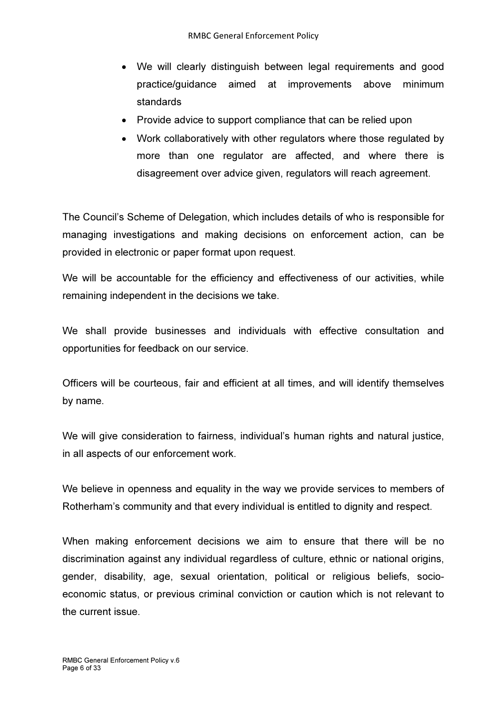- We will clearly distinguish between legal requirements and good practice/guidance aimed at improvements above minimum standards
- Provide advice to support compliance that can be relied upon
- Work collaboratively with other regulators where those regulated by more than one regulator are affected, and where there is disagreement over advice given, regulators will reach agreement.

The Council's Scheme of Delegation, which includes details of who is responsible for managing investigations and making decisions on enforcement action, can be provided in electronic or paper format upon request.

We will be accountable for the efficiency and effectiveness of our activities, while remaining independent in the decisions we take.

We shall provide businesses and individuals with effective consultation and opportunities for feedback on our service.

Officers will be courteous, fair and efficient at all times, and will identify themselves by name.

We will give consideration to fairness, individual's human rights and natural justice, in all aspects of our enforcement work.

We believe in openness and equality in the way we provide services to members of Rotherham's community and that every individual is entitled to dignity and respect.

When making enforcement decisions we aim to ensure that there will be no discrimination against any individual regardless of culture, ethnic or national origins, gender, disability, age, sexual orientation, political or religious beliefs, socioeconomic status, or previous criminal conviction or caution which is not relevant to the current issue.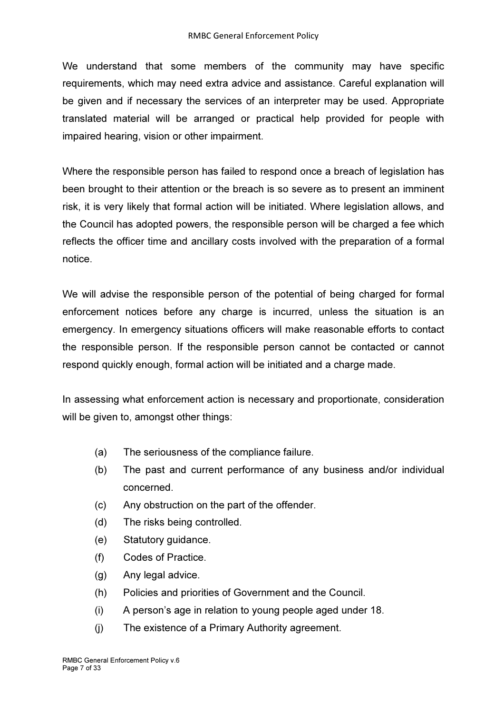We understand that some members of the community may have specific requirements, which may need extra advice and assistance. Careful explanation will be given and if necessary the services of an interpreter may be used. Appropriate translated material will be arranged or practical help provided for people with impaired hearing, vision or other impairment.

Where the responsible person has failed to respond once a breach of legislation has been brought to their attention or the breach is so severe as to present an imminent risk, it is very likely that formal action will be initiated. Where legislation allows, and the Council has adopted powers, the responsible person will be charged a fee which reflects the officer time and ancillary costs involved with the preparation of a formal notice.

We will advise the responsible person of the potential of being charged for formal enforcement notices before any charge is incurred, unless the situation is an emergency. In emergency situations officers will make reasonable efforts to contact the responsible person. If the responsible person cannot be contacted or cannot respond quickly enough, formal action will be initiated and a charge made.

In assessing what enforcement action is necessary and proportionate, consideration will be given to, amongst other things:

- (a) The seriousness of the compliance failure.
- (b) The past and current performance of any business and/or individual concerned.
- (c) Any obstruction on the part of the offender.
- (d) The risks being controlled.
- (e) Statutory guidance.
- (f) Codes of Practice.
- (g) Any legal advice.
- (h) Policies and priorities of Government and the Council.
- (i) A person's age in relation to young people aged under 18.
- (j) The existence of a Primary Authority agreement.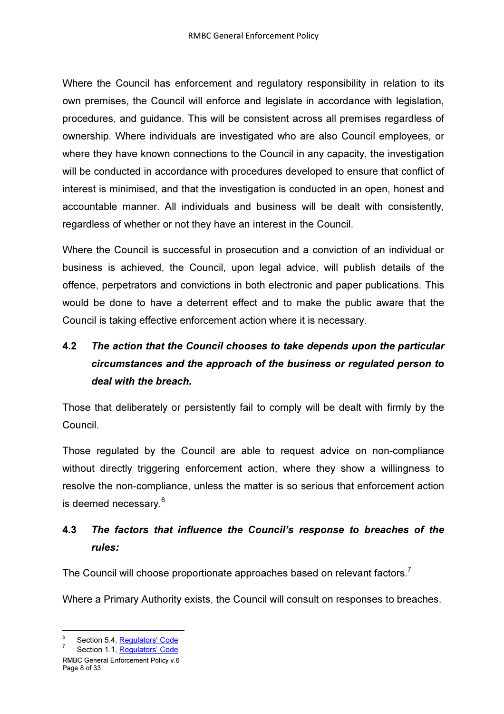Where the Council has enforcement and regulatory responsibility in relation to its own premises, the Council will enforce and legislate in accordance with legislation, procedures, and guidance. This will be consistent across all premises regardless of ownership. Where individuals are investigated who are also Council employees, or where they have known connections to the Council in any capacity, the investigation will be conducted in accordance with procedures developed to ensure that conflict of interest is minimised, and that the investigation is conducted in an open, honest and accountable manner. All individuals and business will be dealt with consistently, regardless of whether or not they have an interest in the Council.

Where the Council is successful in prosecution and a conviction of an individual or business is achieved, the Council, upon legal advice, will publish details of the offence, perpetrators and convictions in both electronic and paper publications. This would be done to have a deterrent effect and to make the public aware that the Council is taking effective enforcement action where it is necessary.

# 4.2 *The action that the Council chooses to take depends upon the particular circumstances and the approach of the business or regulated person to deal with the breach.*

Those that deliberately or persistently fail to comply will be dealt with firmly by the Council.

Those regulated by the Council are able to request advice on non-compliance without directly triggering enforcement action, where they show a willingness to resolve the non-compliance, unless the matter is so serious that enforcement action is deemed necessary.<sup>6</sup>

# 4.3 *The factors that influence the Council's response to breaches of the rules:*

The Council will choose proportionate approaches based on relevant factors.<sup>7</sup>

Where a Primary Authority exists, the Council will consult on responses to breaches.

 $\overline{a}$ 

<sup>6</sup> Section 5.4, Regulators' Code

<sup>7</sup> Section 1.1, Regulators' Code

RMBC General Enforcement Policy v.6 Page 8 of 33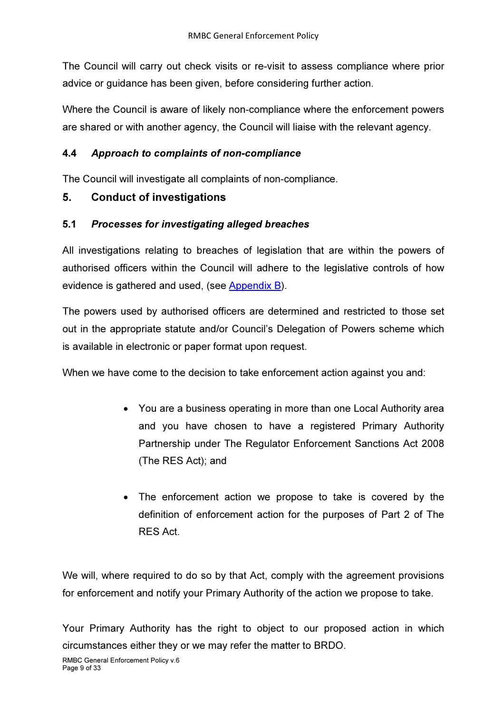The Council will carry out check visits or re-visit to assess compliance where prior advice or guidance has been given, before considering further action.

Where the Council is aware of likely non-compliance where the enforcement powers are shared or with another agency, the Council will liaise with the relevant agency.

## 4.4 *Approach to complaints of non-compliance*

The Council will investigate all complaints of non-compliance.

## 5. Conduct of investigations

## 5.1 *Processes for investigating alleged breaches*

All investigations relating to breaches of legislation that are within the powers of authorised officers within the Council will adhere to the legislative controls of how evidence is gathered and used, (see Appendix B).

The powers used by authorised officers are determined and restricted to those set out in the appropriate statute and/or Council's Delegation of Powers scheme which is available in electronic or paper format upon request.

When we have come to the decision to take enforcement action against you and:

- You are a business operating in more than one Local Authority area and you have chosen to have a registered Primary Authority Partnership under The Regulator Enforcement Sanctions Act 2008 (The RES Act); and
- The enforcement action we propose to take is covered by the definition of enforcement action for the purposes of Part 2 of The RES Act.

We will, where required to do so by that Act, comply with the agreement provisions for enforcement and notify your Primary Authority of the action we propose to take.

Your Primary Authority has the right to object to our proposed action in which circumstances either they or we may refer the matter to BRDO.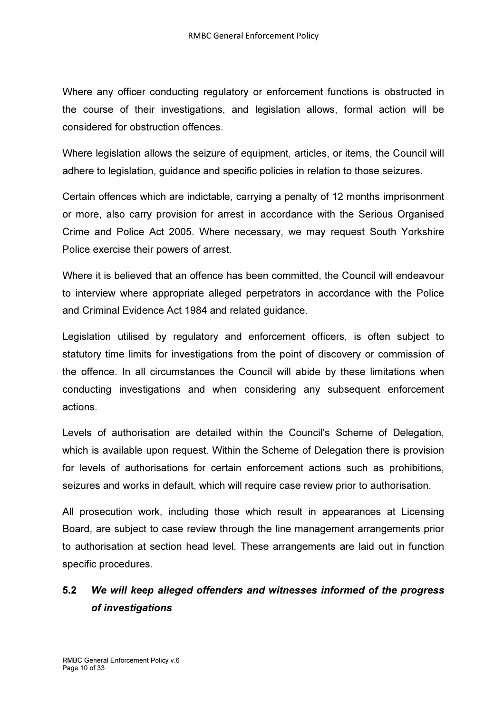Where any officer conducting regulatory or enforcement functions is obstructed in the course of their investigations, and legislation allows, formal action will be considered for obstruction offences.

Where legislation allows the seizure of equipment, articles, or items, the Council will adhere to legislation, guidance and specific policies in relation to those seizures.

Certain offences which are indictable, carrying a penalty of 12 months imprisonment or more, also carry provision for arrest in accordance with the Serious Organised Crime and Police Act 2005. Where necessary, we may request South Yorkshire Police exercise their powers of arrest.

Where it is believed that an offence has been committed, the Council will endeavour to interview where appropriate alleged perpetrators in accordance with the Police and Criminal Evidence Act 1984 and related guidance.

Legislation utilised by regulatory and enforcement officers, is often subject to statutory time limits for investigations from the point of discovery or commission of the offence. In all circumstances the Council will abide by these limitations when conducting investigations and when considering any subsequent enforcement actions.

Levels of authorisation are detailed within the Council's Scheme of Delegation, which is available upon request. Within the Scheme of Delegation there is provision for levels of authorisations for certain enforcement actions such as prohibitions, seizures and works in default, which will require case review prior to authorisation.

All prosecution work, including those which result in appearances at Licensing Board, are subject to case review through the line management arrangements prior to authorisation at section head level. These arrangements are laid out in function specific procedures.

# 5.2 *We will keep alleged offenders and witnesses informed of the progress of investigations*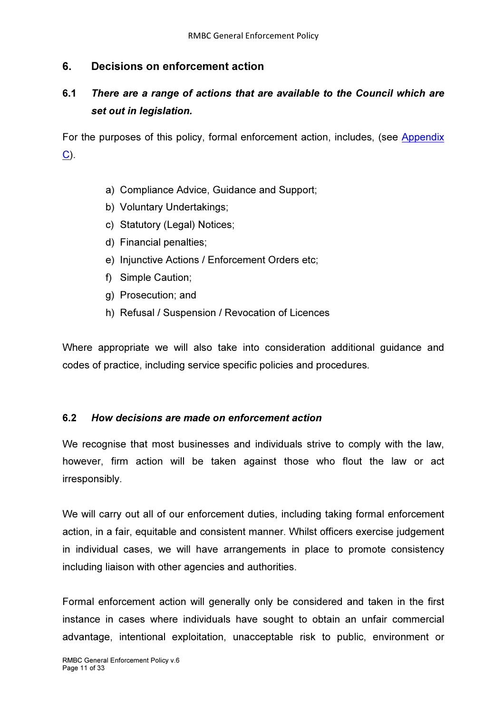## 6. Decisions on enforcement action

# 6.1 *There are a range of actions that are available to the Council which are set out in legislation.*

For the purposes of this policy, formal enforcement action, includes, (see Appendix C).

- a) Compliance Advice, Guidance and Support;
- b) Voluntary Undertakings;
- c) Statutory (Legal) Notices;
- d) Financial penalties;
- e) Injunctive Actions / Enforcement Orders etc;
- f) Simple Caution;
- g) Prosecution; and
- h) Refusal / Suspension / Revocation of Licences

Where appropriate we will also take into consideration additional guidance and codes of practice, including service specific policies and procedures.

## 6.2 *How decisions are made on enforcement action*

We recognise that most businesses and individuals strive to comply with the law, however, firm action will be taken against those who flout the law or act irresponsibly.

We will carry out all of our enforcement duties, including taking formal enforcement action, in a fair, equitable and consistent manner. Whilst officers exercise judgement in individual cases, we will have arrangements in place to promote consistency including liaison with other agencies and authorities.

Formal enforcement action will generally only be considered and taken in the first instance in cases where individuals have sought to obtain an unfair commercial advantage, intentional exploitation, unacceptable risk to public, environment or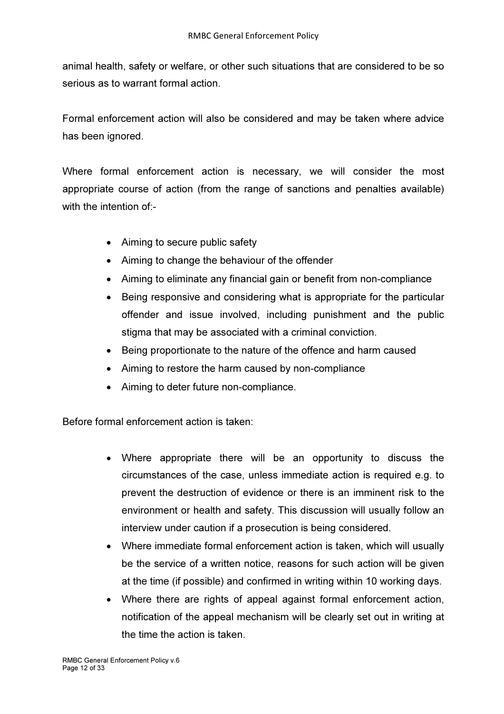animal health, safety or welfare, or other such situations that are considered to be so serious as to warrant formal action.

Formal enforcement action will also be considered and may be taken where advice has been ignored.

Where formal enforcement action is necessary, we will consider the most appropriate course of action (from the range of sanctions and penalties available) with the intention of:-

- Aiming to secure public safety
- Aiming to change the behaviour of the offender
- Aiming to eliminate any financial gain or benefit from non-compliance
- Being responsive and considering what is appropriate for the particular offender and issue involved, including punishment and the public stigma that may be associated with a criminal conviction.
- Being proportionate to the nature of the offence and harm caused
- Aiming to restore the harm caused by non-compliance
- Aiming to deter future non-compliance.

Before formal enforcement action is taken:

- Where appropriate there will be an opportunity to discuss the circumstances of the case, unless immediate action is required e.g. to prevent the destruction of evidence or there is an imminent risk to the environment or health and safety. This discussion will usually follow an interview under caution if a prosecution is being considered.
- Where immediate formal enforcement action is taken, which will usually be the service of a written notice, reasons for such action will be given at the time (if possible) and confirmed in writing within 10 working days.
- Where there are rights of appeal against formal enforcement action, notification of the appeal mechanism will be clearly set out in writing at the time the action is taken.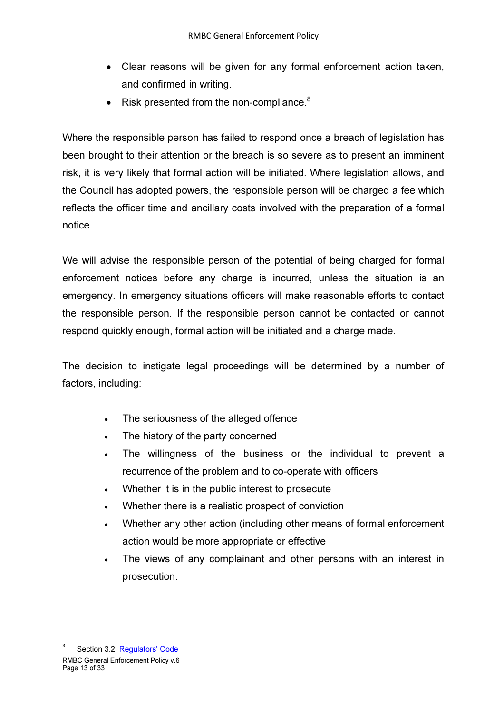- Clear reasons will be given for any formal enforcement action taken, and confirmed in writing.
- Risk presented from the non-compliance.<sup>8</sup>

Where the responsible person has failed to respond once a breach of legislation has been brought to their attention or the breach is so severe as to present an imminent risk, it is very likely that formal action will be initiated. Where legislation allows, and the Council has adopted powers, the responsible person will be charged a fee which reflects the officer time and ancillary costs involved with the preparation of a formal notice.

We will advise the responsible person of the potential of being charged for formal enforcement notices before any charge is incurred, unless the situation is an emergency. In emergency situations officers will make reasonable efforts to contact the responsible person. If the responsible person cannot be contacted or cannot respond quickly enough, formal action will be initiated and a charge made.

The decision to instigate legal proceedings will be determined by a number of factors, including:

- The seriousness of the alleged offence
- The history of the party concerned
- The willingness of the business or the individual to prevent a recurrence of the problem and to co-operate with officers
- Whether it is in the public interest to prosecute
- Whether there is a realistic prospect of conviction
- Whether any other action (including other means of formal enforcement action would be more appropriate or effective
- The views of any complainant and other persons with an interest in prosecution.

 $\overline{a}$ 

<sup>8</sup> Section 3.2, Regulators' Code

RMBC General Enforcement Policy v.6 Page 13 of 33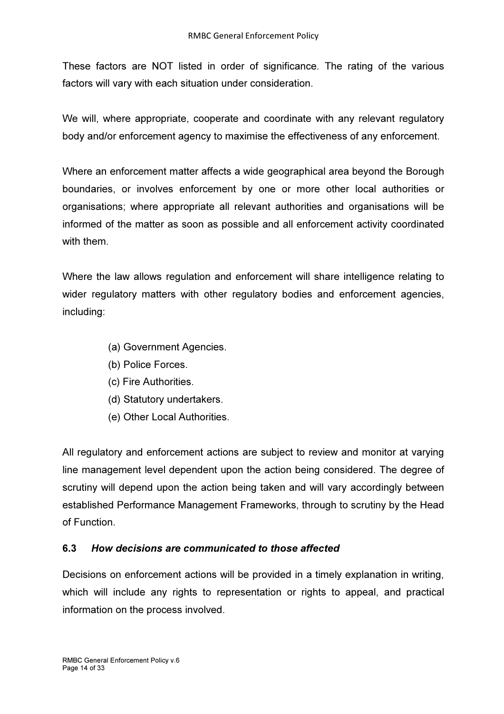These factors are NOT listed in order of significance. The rating of the various factors will vary with each situation under consideration.

We will, where appropriate, cooperate and coordinate with any relevant regulatory body and/or enforcement agency to maximise the effectiveness of any enforcement.

Where an enforcement matter affects a wide geographical area beyond the Borough boundaries, or involves enforcement by one or more other local authorities or organisations; where appropriate all relevant authorities and organisations will be informed of the matter as soon as possible and all enforcement activity coordinated with them.

Where the law allows regulation and enforcement will share intelligence relating to wider regulatory matters with other regulatory bodies and enforcement agencies, including:

- (a) Government Agencies.
- (b) Police Forces.
- (c) Fire Authorities.
- (d) Statutory undertakers.
- (e) Other Local Authorities.

All regulatory and enforcement actions are subject to review and monitor at varying line management level dependent upon the action being considered. The degree of scrutiny will depend upon the action being taken and will vary accordingly between established Performance Management Frameworks, through to scrutiny by the Head of Function.

## 6.3 *How decisions are communicated to those affected*

Decisions on enforcement actions will be provided in a timely explanation in writing, which will include any rights to representation or rights to appeal, and practical information on the process involved.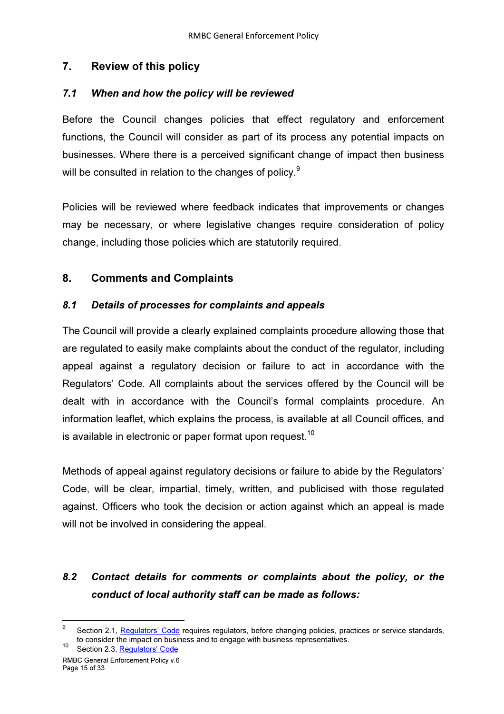## 7. Review of this policy

#### *7.1 When and how the policy will be reviewed*

Before the Council changes policies that effect regulatory and enforcement functions, the Council will consider as part of its process any potential impacts on businesses. Where there is a perceived significant change of impact then business will be consulted in relation to the changes of policy. $^9$ 

Policies will be reviewed where feedback indicates that improvements or changes may be necessary, or where legislative changes require consideration of policy change, including those policies which are statutorily required.

## 8. Comments and Complaints

#### *8.1 Details of processes for complaints and appeals*

The Council will provide a clearly explained complaints procedure allowing those that are regulated to easily make complaints about the conduct of the regulator, including appeal against a regulatory decision or failure to act in accordance with the Regulators' Code. All complaints about the services offered by the Council will be dealt with in accordance with the Council's formal complaints procedure. An information leaflet, which explains the process, is available at all Council offices, and is available in electronic or paper format upon request.<sup>10</sup>

Methods of appeal against regulatory decisions or failure to abide by the Regulators' Code, will be clear, impartial, timely, written, and publicised with those regulated against. Officers who took the decision or action against which an appeal is made will not be involved in considering the appeal.

# *8.2 Contact details for comments or complaints about the policy, or the conduct of local authority staff can be made as follows:*

 $\overline{a}$ 

<sup>9</sup> Section 2.1, Regulators' Code requires regulators, before changing policies, practices or service standards, to consider the impact on business and to engage with business representatives.

<sup>&</sup>lt;sup>10</sup> Section 2.3, Regulators' Code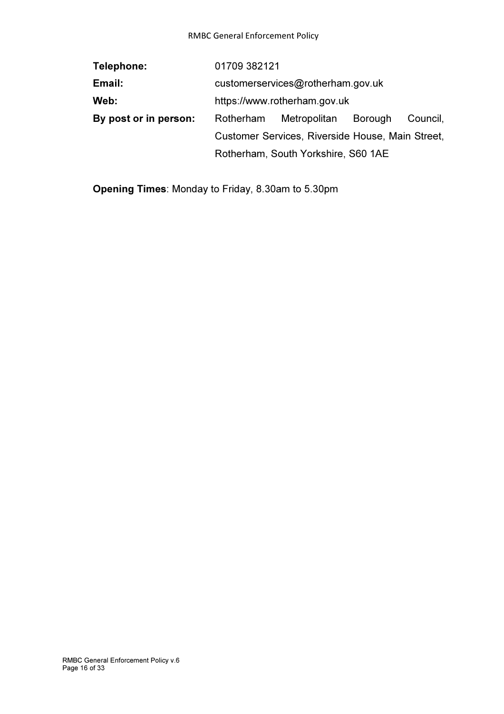| Telephone:            | 01709 382121                                     |              |         |          |
|-----------------------|--------------------------------------------------|--------------|---------|----------|
| Email:                | customerservices@rotherham.gov.uk                |              |         |          |
| Web:                  | https://www.rotherham.gov.uk                     |              |         |          |
| By post or in person: | Rotherham                                        | Metropolitan | Borough | Council, |
|                       | Customer Services, Riverside House, Main Street, |              |         |          |
|                       | Rotherham, South Yorkshire, S60 1AE              |              |         |          |

Opening Times: Monday to Friday, 8.30am to 5.30pm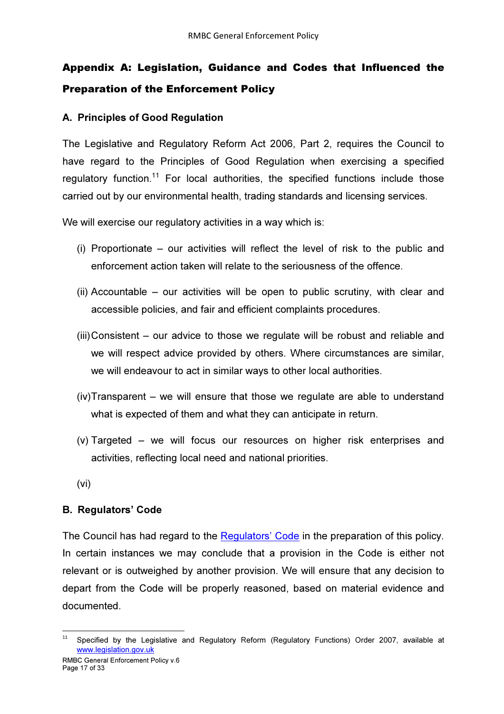# Appendix A: Legislation, Guidance and Codes that Influenced the Preparation of the Enforcement Policy

## A. Principles of Good Regulation

The Legislative and Regulatory Reform Act 2006, Part 2, requires the Council to have regard to the Principles of Good Regulation when exercising a specified regulatory function.<sup>11</sup> For local authorities, the specified functions include those carried out by our environmental health, trading standards and licensing services.

We will exercise our regulatory activities in a way which is:

- (i) Proportionate our activities will reflect the level of risk to the public and enforcement action taken will relate to the seriousness of the offence.
- (ii) Accountable our activities will be open to public scrutiny, with clear and accessible policies, and fair and efficient complaints procedures.
- (iii) Consistent our advice to those we regulate will be robust and reliable and we will respect advice provided by others. Where circumstances are similar, we will endeavour to act in similar ways to other local authorities.
- (iv) Transparent we will ensure that those we regulate are able to understand what is expected of them and what they can anticipate in return.
- (v) Targeted we will focus our resources on higher risk enterprises and activities, reflecting local need and national priorities.
- (vi)

 $\overline{a}$ 

## B. Regulators' Code

The Council has had regard to the Regulators' Code in the preparation of this policy. In certain instances we may conclude that a provision in the Code is either not relevant or is outweighed by another provision. We will ensure that any decision to depart from the Code will be properly reasoned, based on material evidence and documented.

<sup>&</sup>lt;sup>11</sup> Specified by the Legislative and Regulatory Reform (Regulatory Functions) Order 2007, available at www.legislation.gov.uk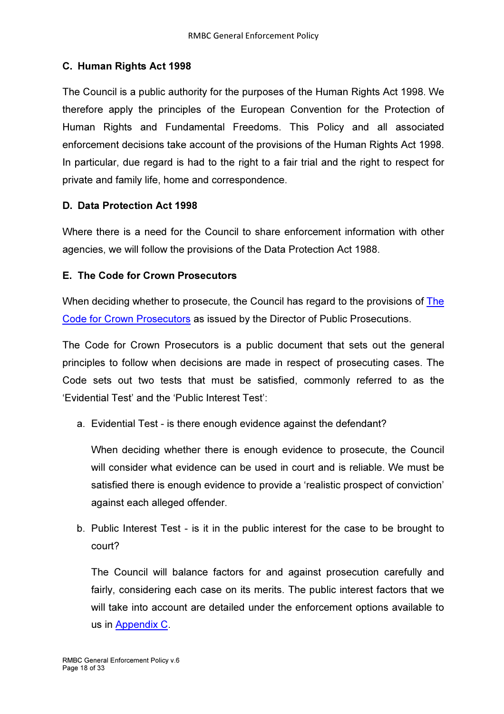## C. Human Rights Act 1998

The Council is a public authority for the purposes of the Human Rights Act 1998. We therefore apply the principles of the European Convention for the Protection of Human Rights and Fundamental Freedoms. This Policy and all associated enforcement decisions take account of the provisions of the Human Rights Act 1998. In particular, due regard is had to the right to a fair trial and the right to respect for private and family life, home and correspondence.

#### D. Data Protection Act 1998

Where there is a need for the Council to share enforcement information with other agencies, we will follow the provisions of the Data Protection Act 1988.

#### E. The Code for Crown Prosecutors

When deciding whether to prosecute, the Council has regard to the provisions of The Code for Crown Prosecutors as issued by the Director of Public Prosecutions.

The Code for Crown Prosecutors is a public document that sets out the general principles to follow when decisions are made in respect of prosecuting cases. The Code sets out two tests that must be satisfied, commonly referred to as the 'Evidential Test' and the 'Public Interest Test':

a. Evidential Test - is there enough evidence against the defendant?

When deciding whether there is enough evidence to prosecute, the Council will consider what evidence can be used in court and is reliable. We must be satisfied there is enough evidence to provide a 'realistic prospect of conviction' against each alleged offender.

b. Public Interest Test - is it in the public interest for the case to be brought to court?

The Council will balance factors for and against prosecution carefully and fairly, considering each case on its merits. The public interest factors that we will take into account are detailed under the enforcement options available to us in Appendix C.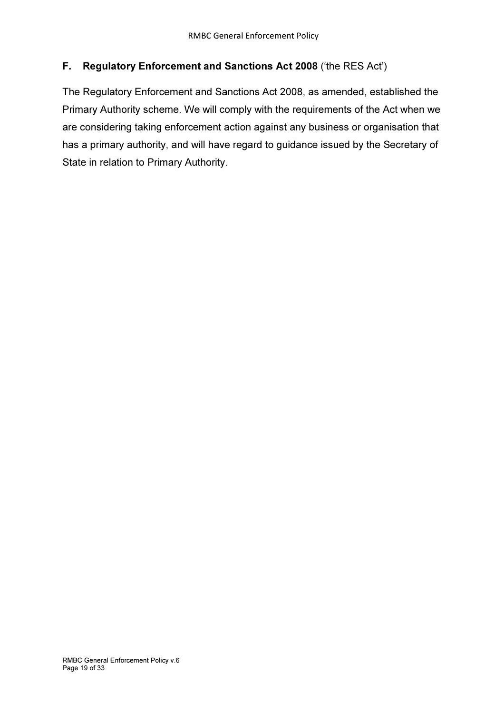## F. Regulatory Enforcement and Sanctions Act 2008 ('the RES Act')

The Regulatory Enforcement and Sanctions Act 2008, as amended, established the Primary Authority scheme. We will comply with the requirements of the Act when we are considering taking enforcement action against any business or organisation that has a primary authority, and will have regard to guidance issued by the Secretary of State in relation to Primary Authority.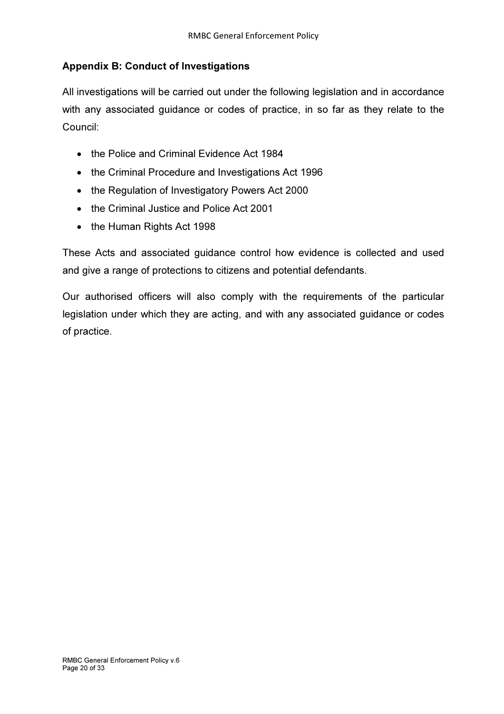## Appendix B: Conduct of Investigations

All investigations will be carried out under the following legislation and in accordance with any associated guidance or codes of practice, in so far as they relate to the Council:

- the Police and Criminal Evidence Act 1984
- the Criminal Procedure and Investigations Act 1996
- the Regulation of Investigatory Powers Act 2000
- the Criminal Justice and Police Act 2001
- the Human Rights Act 1998

These Acts and associated guidance control how evidence is collected and used and give a range of protections to citizens and potential defendants.

Our authorised officers will also comply with the requirements of the particular legislation under which they are acting, and with any associated guidance or codes of practice.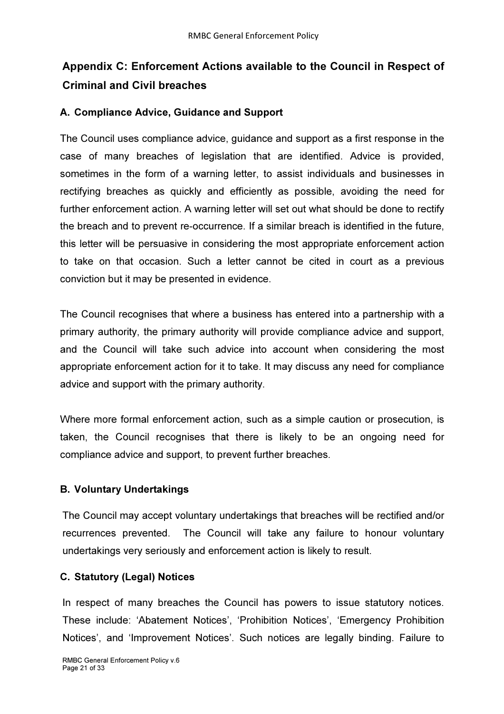# Appendix C: Enforcement Actions available to the Council in Respect of Criminal and Civil breaches

## A. Compliance Advice, Guidance and Support

The Council uses compliance advice, guidance and support as a first response in the case of many breaches of legislation that are identified. Advice is provided, sometimes in the form of a warning letter, to assist individuals and businesses in rectifying breaches as quickly and efficiently as possible, avoiding the need for further enforcement action. A warning letter will set out what should be done to rectify the breach and to prevent re-occurrence. If a similar breach is identified in the future, this letter will be persuasive in considering the most appropriate enforcement action to take on that occasion. Such a letter cannot be cited in court as a previous conviction but it may be presented in evidence.

The Council recognises that where a business has entered into a partnership with a primary authority, the primary authority will provide compliance advice and support, and the Council will take such advice into account when considering the most appropriate enforcement action for it to take. It may discuss any need for compliance advice and support with the primary authority.

Where more formal enforcement action, such as a simple caution or prosecution, is taken, the Council recognises that there is likely to be an ongoing need for compliance advice and support, to prevent further breaches.

## B. Voluntary Undertakings

The Council may accept voluntary undertakings that breaches will be rectified and/or recurrences prevented. The Council will take any failure to honour voluntary undertakings very seriously and enforcement action is likely to result.

## C. Statutory (Legal) Notices

In respect of many breaches the Council has powers to issue statutory notices. These include: 'Abatement Notices', 'Prohibition Notices', 'Emergency Prohibition Notices', and 'Improvement Notices'. Such notices are legally binding. Failure to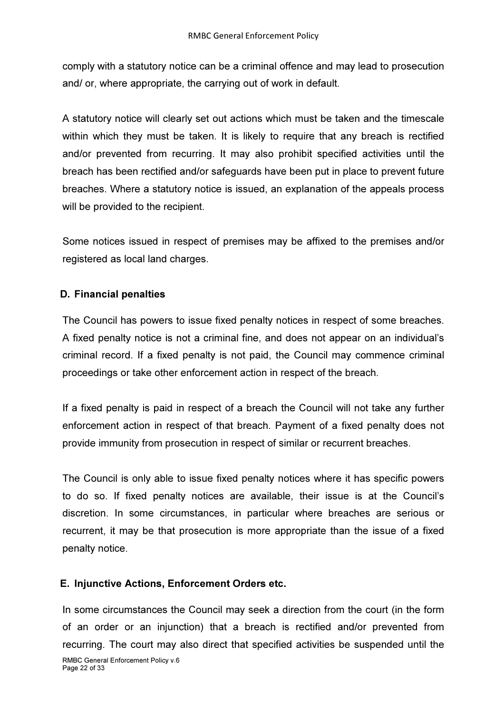comply with a statutory notice can be a criminal offence and may lead to prosecution and/ or, where appropriate, the carrying out of work in default.

A statutory notice will clearly set out actions which must be taken and the timescale within which they must be taken. It is likely to require that any breach is rectified and/or prevented from recurring. It may also prohibit specified activities until the breach has been rectified and/or safeguards have been put in place to prevent future breaches. Where a statutory notice is issued, an explanation of the appeals process will be provided to the recipient.

Some notices issued in respect of premises may be affixed to the premises and/or registered as local land charges.

## D. Financial penalties

The Council has powers to issue fixed penalty notices in respect of some breaches. A fixed penalty notice is not a criminal fine, and does not appear on an individual's criminal record. If a fixed penalty is not paid, the Council may commence criminal proceedings or take other enforcement action in respect of the breach.

If a fixed penalty is paid in respect of a breach the Council will not take any further enforcement action in respect of that breach. Payment of a fixed penalty does not provide immunity from prosecution in respect of similar or recurrent breaches.

The Council is only able to issue fixed penalty notices where it has specific powers to do so. If fixed penalty notices are available, their issue is at the Council's discretion. In some circumstances, in particular where breaches are serious or recurrent, it may be that prosecution is more appropriate than the issue of a fixed penalty notice.

## E. Injunctive Actions, Enforcement Orders etc.

RMBC General Enforcement Policy v.6 Page 22 of 33 In some circumstances the Council may seek a direction from the court (in the form of an order or an injunction) that a breach is rectified and/or prevented from recurring. The court may also direct that specified activities be suspended until the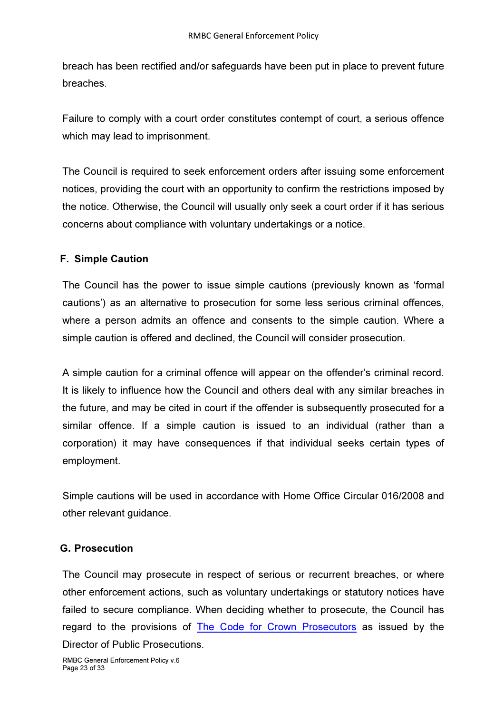breach has been rectified and/or safeguards have been put in place to prevent future breaches.

Failure to comply with a court order constitutes contempt of court, a serious offence which may lead to imprisonment.

The Council is required to seek enforcement orders after issuing some enforcement notices, providing the court with an opportunity to confirm the restrictions imposed by the notice. Otherwise, the Council will usually only seek a court order if it has serious concerns about compliance with voluntary undertakings or a notice.

## F. Simple Caution

The Council has the power to issue simple cautions (previously known as 'formal cautions') as an alternative to prosecution for some less serious criminal offences, where a person admits an offence and consents to the simple caution. Where a simple caution is offered and declined, the Council will consider prosecution.

A simple caution for a criminal offence will appear on the offender's criminal record. It is likely to influence how the Council and others deal with any similar breaches in the future, and may be cited in court if the offender is subsequently prosecuted for a similar offence. If a simple caution is issued to an individual (rather than a corporation) it may have consequences if that individual seeks certain types of employment.

Simple cautions will be used in accordance with Home Office Circular 016/2008 and other relevant guidance.

## G. Prosecution

The Council may prosecute in respect of serious or recurrent breaches, or where other enforcement actions, such as voluntary undertakings or statutory notices have failed to secure compliance. When deciding whether to prosecute, the Council has regard to the provisions of The Code for Crown Prosecutors as issued by the Director of Public Prosecutions.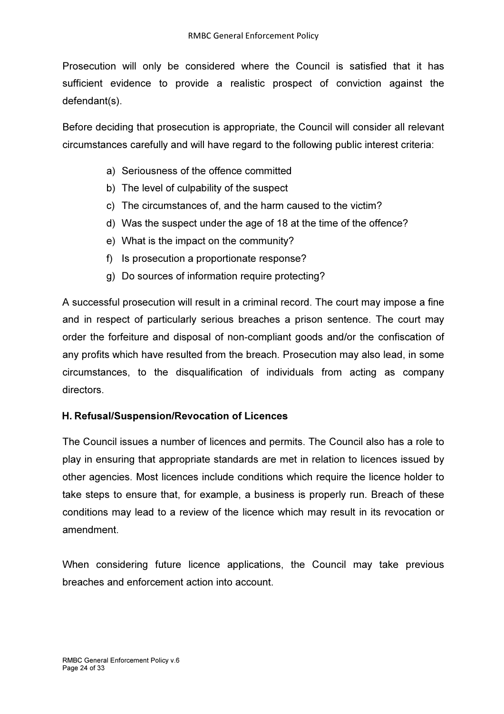Prosecution will only be considered where the Council is satisfied that it has sufficient evidence to provide a realistic prospect of conviction against the defendant(s).

Before deciding that prosecution is appropriate, the Council will consider all relevant circumstances carefully and will have regard to the following public interest criteria:

- a) Seriousness of the offence committed
- b) The level of culpability of the suspect
- c) The circumstances of, and the harm caused to the victim?
- d) Was the suspect under the age of 18 at the time of the offence?
- e) What is the impact on the community?
- f) Is prosecution a proportionate response?
- g) Do sources of information require protecting?

A successful prosecution will result in a criminal record. The court may impose a fine and in respect of particularly serious breaches a prison sentence. The court may order the forfeiture and disposal of non-compliant goods and/or the confiscation of any profits which have resulted from the breach. Prosecution may also lead, in some circumstances, to the disqualification of individuals from acting as company directors.

## H. Refusal/Suspension/Revocation of Licences

The Council issues a number of licences and permits. The Council also has a role to play in ensuring that appropriate standards are met in relation to licences issued by other agencies. Most licences include conditions which require the licence holder to take steps to ensure that, for example, a business is properly run. Breach of these conditions may lead to a review of the licence which may result in its revocation or amendment.

When considering future licence applications, the Council may take previous breaches and enforcement action into account.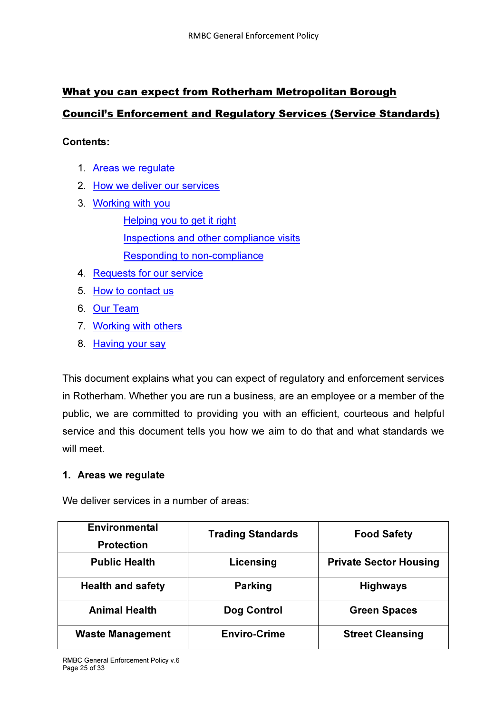## What you can expect from Rotherham Metropolitan Borough

## Council's Enforcement and Regulatory Services (Service Standards)

Contents:

- 1. Areas we regulate
- 2. How we deliver our services
- 3. Working with you

Helping you to get it right Inspections and other compliance visits Responding to non-compliance

- 4. Requests for our service
- 5. How to contact us
- 6. Our Team
- 7. Working with others
- 8. Having your say

This document explains what you can expect of regulatory and enforcement services in Rotherham. Whether you are run a business, are an employee or a member of the public, we are committed to providing you with an efficient, courteous and helpful service and this document tells you how we aim to do that and what standards we will meet.

## 1. Areas we regulate

We deliver services in a number of areas:

| <b>Environmental</b><br><b>Protection</b> | <b>Trading Standards</b> | <b>Food Safety</b>            |
|-------------------------------------------|--------------------------|-------------------------------|
| <b>Public Health</b>                      | Licensing                | <b>Private Sector Housing</b> |
| <b>Health and safety</b>                  | <b>Parking</b>           | <b>Highways</b>               |
| <b>Animal Health</b>                      | Dog Control              | <b>Green Spaces</b>           |
| <b>Waste Management</b>                   | <b>Enviro-Crime</b>      | <b>Street Cleansing</b>       |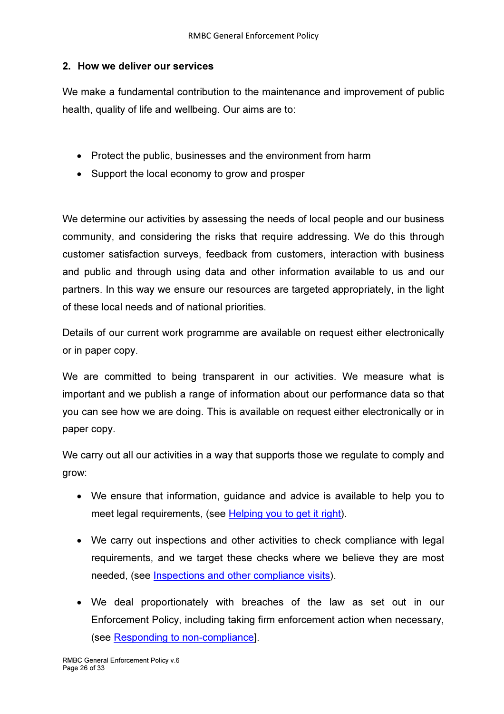## 2. How we deliver our services

We make a fundamental contribution to the maintenance and improvement of public health, quality of life and wellbeing. Our aims are to:

- Protect the public, businesses and the environment from harm
- Support the local economy to grow and prosper

We determine our activities by assessing the needs of local people and our business community, and considering the risks that require addressing. We do this through customer satisfaction surveys, feedback from customers, interaction with business and public and through using data and other information available to us and our partners. In this way we ensure our resources are targeted appropriately, in the light of these local needs and of national priorities.

Details of our current work programme are available on request either electronically or in paper copy.

We are committed to being transparent in our activities. We measure what is important and we publish a range of information about our performance data so that you can see how we are doing. This is available on request either electronically or in paper copy.

We carry out all our activities in a way that supports those we regulate to comply and grow:

- We ensure that information, guidance and advice is available to help you to meet legal requirements, (see Helping you to get it right).
- We carry out inspections and other activities to check compliance with legal requirements, and we target these checks where we believe they are most needed, (see Inspections and other compliance visits).
- We deal proportionately with breaches of the law as set out in our Enforcement Policy, including taking firm enforcement action when necessary, (see Responding to non-compliance].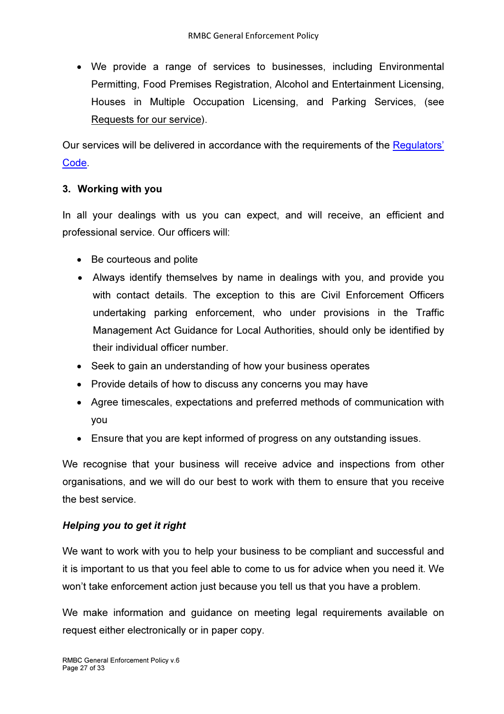• We provide a range of services to businesses, including Environmental Permitting, Food Premises Registration, Alcohol and Entertainment Licensing, Houses in Multiple Occupation Licensing, and Parking Services, (see Requests for our service).

Our services will be delivered in accordance with the requirements of the Regulators' Code.

## 3. Working with you

In all your dealings with us you can expect, and will receive, an efficient and professional service. Our officers will:

- Be courteous and polite
- Always identify themselves by name in dealings with you, and provide you with contact details. The exception to this are Civil Enforcement Officers undertaking parking enforcement, who under provisions in the Traffic Management Act Guidance for Local Authorities, should only be identified by their individual officer number.
- Seek to gain an understanding of how your business operates
- Provide details of how to discuss any concerns you may have
- Agree timescales, expectations and preferred methods of communication with you
- Ensure that you are kept informed of progress on any outstanding issues.

We recognise that your business will receive advice and inspections from other organisations, and we will do our best to work with them to ensure that you receive the best service.

## *Helping you to get it right*

We want to work with you to help your business to be compliant and successful and it is important to us that you feel able to come to us for advice when you need it. We won't take enforcement action just because you tell us that you have a problem.

We make information and guidance on meeting legal requirements available on request either electronically or in paper copy.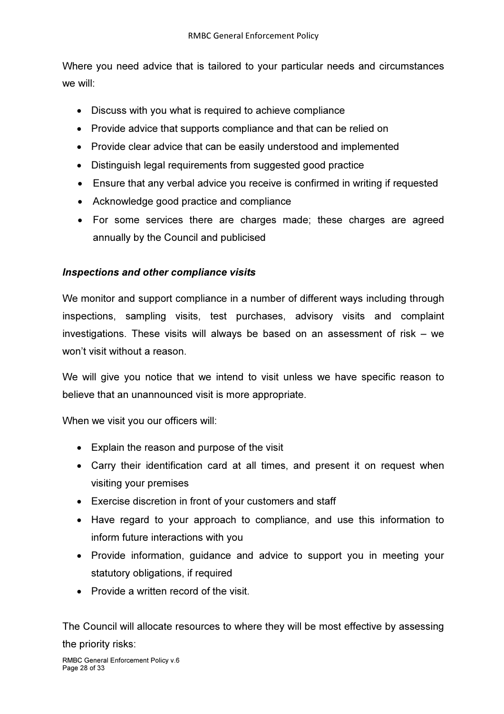Where you need advice that is tailored to your particular needs and circumstances we will:

- Discuss with you what is required to achieve compliance
- Provide advice that supports compliance and that can be relied on
- Provide clear advice that can be easily understood and implemented
- Distinguish legal requirements from suggested good practice
- Ensure that any verbal advice you receive is confirmed in writing if requested
- Acknowledge good practice and compliance
- For some services there are charges made; these charges are agreed annually by the Council and publicised

#### *Inspections and other compliance visits*

We monitor and support compliance in a number of different ways including through inspections, sampling visits, test purchases, advisory visits and complaint investigations. These visits will always be based on an assessment of risk – we won't visit without a reason.

We will give you notice that we intend to visit unless we have specific reason to believe that an unannounced visit is more appropriate.

When we visit you our officers will:

- Explain the reason and purpose of the visit
- Carry their identification card at all times, and present it on request when visiting your premises
- Exercise discretion in front of your customers and staff
- Have regard to your approach to compliance, and use this information to inform future interactions with you
- Provide information, guidance and advice to support you in meeting your statutory obligations, if required
- Provide a written record of the visit.

The Council will allocate resources to where they will be most effective by assessing the priority risks: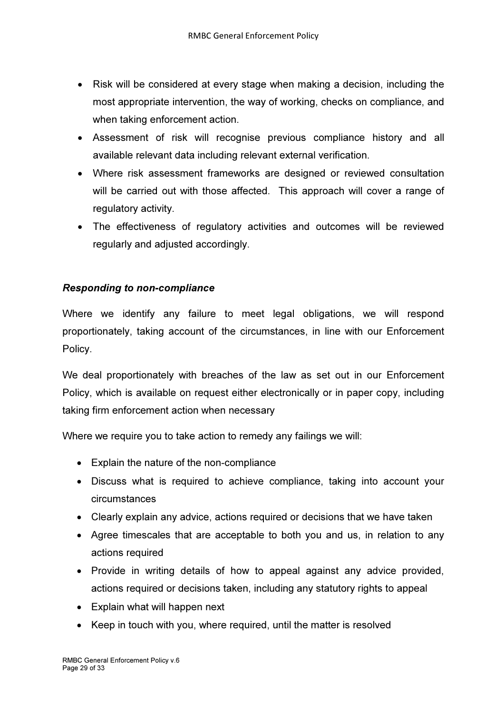- Risk will be considered at every stage when making a decision, including the most appropriate intervention, the way of working, checks on compliance, and when taking enforcement action.
- Assessment of risk will recognise previous compliance history and all available relevant data including relevant external verification.
- Where risk assessment frameworks are designed or reviewed consultation will be carried out with those affected. This approach will cover a range of regulatory activity.
- The effectiveness of regulatory activities and outcomes will be reviewed regularly and adjusted accordingly.

## *Responding to non-compliance*

Where we identify any failure to meet legal obligations, we will respond proportionately, taking account of the circumstances, in line with our Enforcement Policy.

We deal proportionately with breaches of the law as set out in our Enforcement Policy, which is available on request either electronically or in paper copy, including taking firm enforcement action when necessary

Where we require you to take action to remedy any failings we will:

- Explain the nature of the non-compliance
- Discuss what is required to achieve compliance, taking into account your circumstances
- Clearly explain any advice, actions required or decisions that we have taken
- Agree timescales that are acceptable to both you and us, in relation to any actions required
- Provide in writing details of how to appeal against any advice provided, actions required or decisions taken, including any statutory rights to appeal
- Explain what will happen next
- Keep in touch with you, where required, until the matter is resolved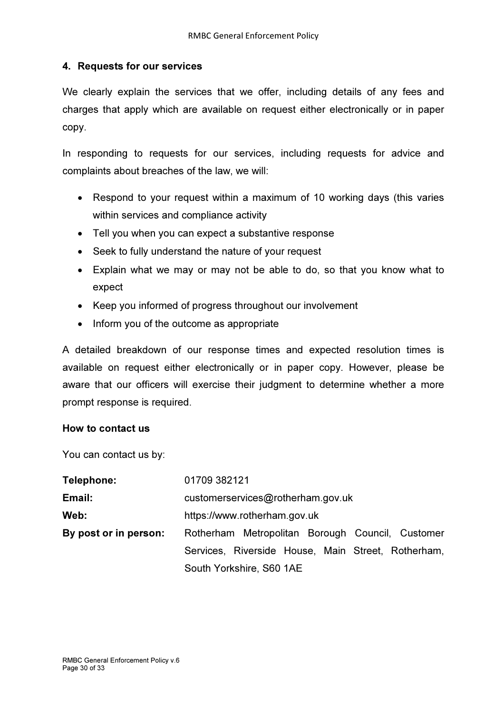#### 4. Requests for our services

We clearly explain the services that we offer, including details of any fees and charges that apply which are available on request either electronically or in paper copy.

In responding to requests for our services, including requests for advice and complaints about breaches of the law, we will:

- Respond to your request within a maximum of 10 working days (this varies within services and compliance activity
- Tell you when you can expect a substantive response
- Seek to fully understand the nature of your request
- Explain what we may or may not be able to do, so that you know what to expect
- Keep you informed of progress throughout our involvement
- Inform you of the outcome as appropriate

A detailed breakdown of our response times and expected resolution times is available on request either electronically or in paper copy. However, please be aware that our officers will exercise their judgment to determine whether a more prompt response is required.

#### How to contact us

You can contact us by:

| Telephone:            | 01709 382121                                       |  |  |
|-----------------------|----------------------------------------------------|--|--|
| Email:                | customerservices@rotherham.gov.uk                  |  |  |
| Web:                  | https://www.rotherham.gov.uk                       |  |  |
| By post or in person: | Rotherham Metropolitan Borough Council, Customer   |  |  |
|                       | Services, Riverside House, Main Street, Rotherham, |  |  |
|                       | South Yorkshire, S60 1AE                           |  |  |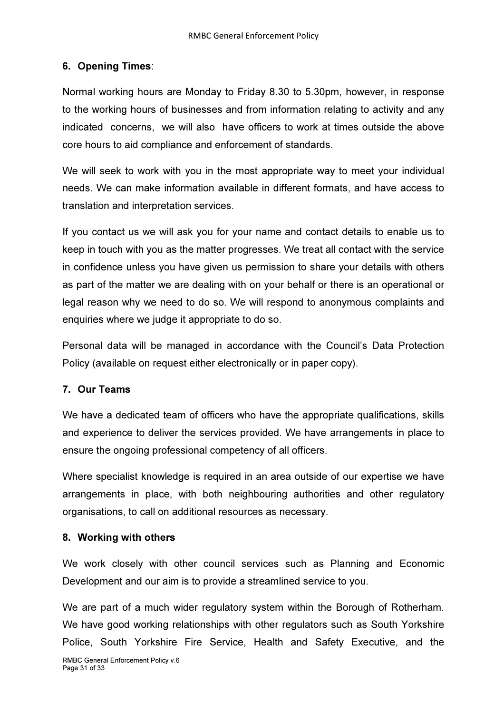## 6. Opening Times:

Normal working hours are Monday to Friday 8.30 to 5.30pm, however, in response to the working hours of businesses and from information relating to activity and any indicated concerns, we will also have officers to work at times outside the above core hours to aid compliance and enforcement of standards.

We will seek to work with you in the most appropriate way to meet your individual needs. We can make information available in different formats, and have access to translation and interpretation services.

If you contact us we will ask you for your name and contact details to enable us to keep in touch with you as the matter progresses. We treat all contact with the service in confidence unless you have given us permission to share your details with others as part of the matter we are dealing with on your behalf or there is an operational or legal reason why we need to do so. We will respond to anonymous complaints and enquiries where we judge it appropriate to do so.

Personal data will be managed in accordance with the Council's Data Protection Policy (available on request either electronically or in paper copy).

## 7. Our Teams

We have a dedicated team of officers who have the appropriate qualifications, skills and experience to deliver the services provided. We have arrangements in place to ensure the ongoing professional competency of all officers.

Where specialist knowledge is required in an area outside of our expertise we have arrangements in place, with both neighbouring authorities and other regulatory organisations, to call on additional resources as necessary.

#### 8. Working with others

We work closely with other council services such as Planning and Economic Development and our aim is to provide a streamlined service to you.

RMBC General Enforcement Policy v.6 Page 31 of 33 We are part of a much wider regulatory system within the Borough of Rotherham. We have good working relationships with other regulators such as South Yorkshire Police, South Yorkshire Fire Service, Health and Safety Executive, and the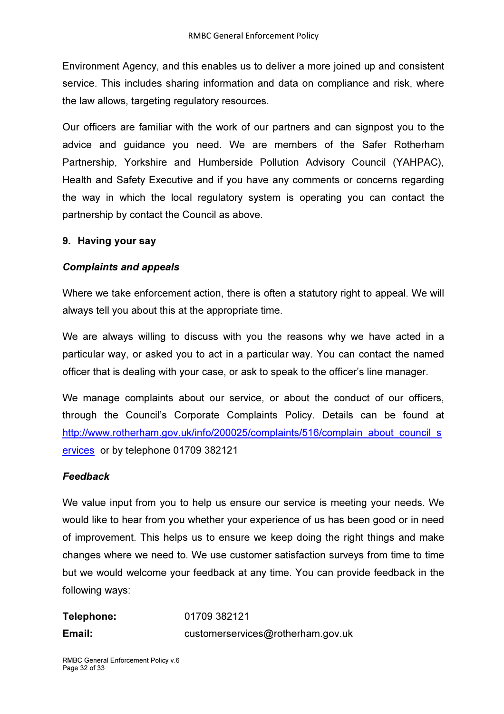Environment Agency, and this enables us to deliver a more joined up and consistent service. This includes sharing information and data on compliance and risk, where the law allows, targeting regulatory resources.

Our officers are familiar with the work of our partners and can signpost you to the advice and guidance you need. We are members of the Safer Rotherham Partnership, Yorkshire and Humberside Pollution Advisory Council (YAHPAC), Health and Safety Executive and if you have any comments or concerns regarding the way in which the local regulatory system is operating you can contact the partnership by contact the Council as above.

#### 9. Having your say

#### *Complaints and appeals*

Where we take enforcement action, there is often a statutory right to appeal. We will always tell you about this at the appropriate time.

We are always willing to discuss with you the reasons why we have acted in a particular way, or asked you to act in a particular way. You can contact the named officer that is dealing with your case, or ask to speak to the officer's line manager.

We manage complaints about our service, or about the conduct of our officers, through the Council's Corporate Complaints Policy. Details can be found at http://www.rotherham.gov.uk/info/200025/complaints/516/complain\_about\_council\_s ervices or by telephone 01709 382121

#### *Feedback*

We value input from you to help us ensure our service is meeting your needs. We would like to hear from you whether your experience of us has been good or in need of improvement. This helps us to ensure we keep doing the right things and make changes where we need to. We use customer satisfaction surveys from time to time but we would welcome your feedback at any time. You can provide feedback in the following ways:

| Telephone: | 01709 382121                      |
|------------|-----------------------------------|
| Email:     | customerservices@rotherham.gov.uk |